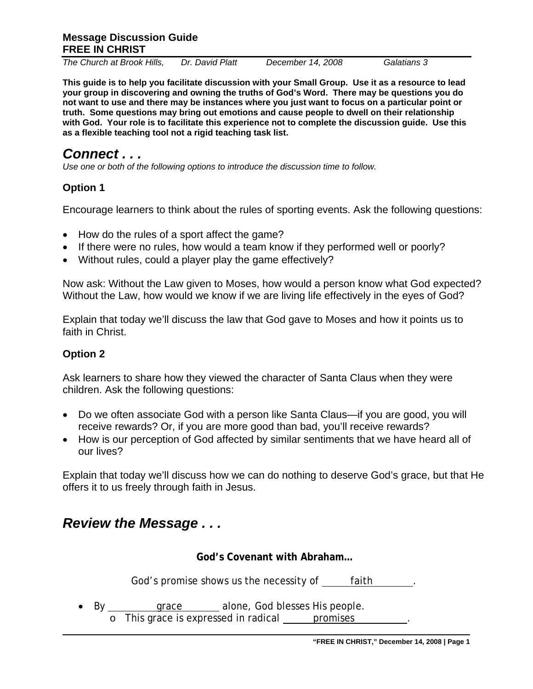*The Church at Brook Hills, Dr. David Platt December 14, 2008 Galatians 3* 

**This guide is to help you facilitate discussion with your Small Group. Use it as a resource to lead your group in discovering and owning the truths of God's Word. There may be questions you do not want to use and there may be instances where you just want to focus on a particular point or truth. Some questions may bring out emotions and cause people to dwell on their relationship with God. Your role is to facilitate this experience not to complete the discussion guide. Use this as a flexible teaching tool not a rigid teaching task list.** 

# *Connect . . .*

*Use one or both of the following options to introduce the discussion time to follow.* 

# **Option 1**

Encourage learners to think about the rules of sporting events. Ask the following questions:

- How do the rules of a sport affect the game?
- If there were no rules, how would a team know if they performed well or poorly?
- Without rules, could a player play the game effectively?

Now ask: Without the Law given to Moses, how would a person know what God expected? Without the Law, how would we know if we are living life effectively in the eyes of God?

Explain that today we'll discuss the law that God gave to Moses and how it points us to faith in Christ.

# **Option 2**

Ask learners to share how they viewed the character of Santa Claus when they were children. Ask the following questions:

- Do we often associate God with a person like Santa Claus—if you are good, you will receive rewards? Or, if you are more good than bad, you'll receive rewards?
- How is our perception of God affected by similar sentiments that we have heard all of our lives?

Explain that today we'll discuss how we can do nothing to deserve God's grace, but that He offers it to us freely through faith in Jesus.

# *Review the Message . . .*

**God's Covenant with Abraham…** 

God's promise shows us the necessity of faith ...

• By \_\_\_\_\_\_\_\_ grace \_\_\_\_\_ alone, God blesses His people.

o This grace is expressed in radical promises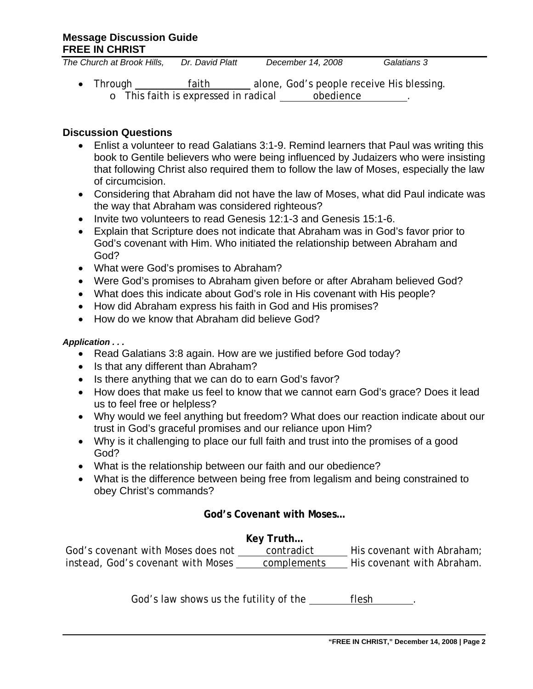| The Church at Brook Hills, | Dr. David Platt                      | December 14, 2008                         | Galatians 3 |
|----------------------------|--------------------------------------|-------------------------------------------|-------------|
| $\bullet$ Through          | faith                                | alone, God's people receive His blessing. |             |
|                            | o This faith is expressed in radical | obedience                                 |             |

#### **Discussion Questions**

- Enlist a volunteer to read Galatians 3:1-9. Remind learners that Paul was writing this book to Gentile believers who were being influenced by Judaizers who were insisting that following Christ also required them to follow the law of Moses, especially the law of circumcision.
- Considering that Abraham did not have the law of Moses, what did Paul indicate was the way that Abraham was considered righteous?
- Invite two volunteers to read Genesis 12:1-3 and Genesis 15:1-6.
- Explain that Scripture does not indicate that Abraham was in God's favor prior to God's covenant with Him. Who initiated the relationship between Abraham and God?
- What were God's promises to Abraham?
- Were God's promises to Abraham given before or after Abraham believed God?
- What does this indicate about God's role in His covenant with His people?
- How did Abraham express his faith in God and His promises?
- How do we know that Abraham did believe God?

#### *Application . . .*

- Read Galatians 3:8 again. How are we justified before God today?
- Is that any different than Abraham?
- Is there anything that we can do to earn God's favor?
- How does that make us feel to know that we cannot earn God's grace? Does it lead us to feel free or helpless?
- Why would we feel anything but freedom? What does our reaction indicate about our trust in God's graceful promises and our reliance upon Him?
- Why is it challenging to place our full faith and trust into the promises of a good God?
- What is the relationship between our faith and our obedience?
- What is the difference between being free from legalism and being constrained to obey Christ's commands?

#### **God's Covenant with Moses…**

| Key Truth                          |             |                            |  |  |
|------------------------------------|-------------|----------------------------|--|--|
| God's covenant with Moses does not | contradict  | His covenant with Abraham; |  |  |
| instead, God's covenant with Moses | complements | His covenant with Abraham. |  |  |

God's law shows us the futility of the <u>flesh</u> ...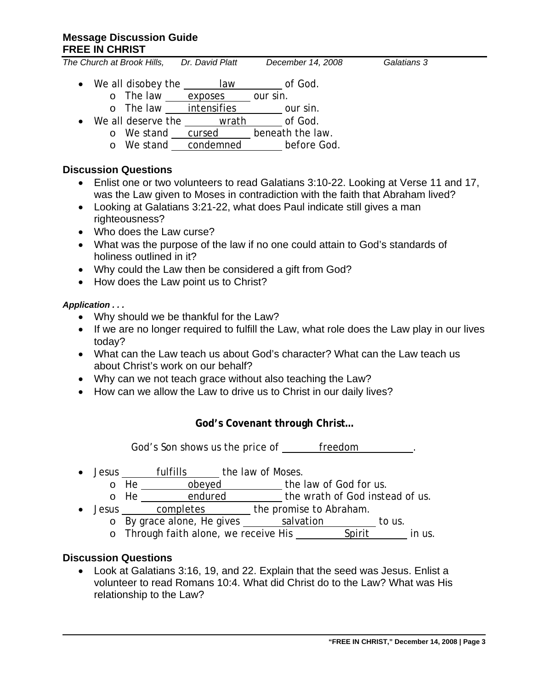*The Church at Brook Hills, Dr. David Platt December 14, 2008 Galatians 3* 

- We all disobey the law of God.
	- o The law exposes our sin.
- o The law intensifies \_\_\_\_\_\_\_ our sin. • We all deserve the wrath of God.
	- o We stand cursed beneath the law.
		- o We stand condemned before God.

### **Discussion Questions**

- Enlist one or two volunteers to read Galatians 3:10-22. Looking at Verse 11 and 17, was the Law given to Moses in contradiction with the faith that Abraham lived?
- Looking at Galatians 3:21-22, what does Paul indicate still gives a man righteousness?
- Who does the Law curse?
- What was the purpose of the law if no one could attain to God's standards of holiness outlined in it?
- Why could the Law then be considered a gift from God?
- How does the Law point us to Christ?

#### *Application . . .*

- Why should we be thankful for the Law?
- If we are no longer required to fulfill the Law, what role does the Law play in our lives today?
- What can the Law teach us about God's character? What can the Law teach us about Christ's work on our behalf?
- Why can we not teach grace without also teaching the Law?
- How can we allow the Law to drive us to Christ in our daily lives?

## **God's Covenant through Christ…**

God's Son shows us the price of freedom .

- Jesus fulfills the law of Moses.
	- o He **obeyed** the law of God for us.<br>
	o He endured the wrath of God inste
	- the wrath of God instead of us.
- Jesus completes the promise to Abraham.
	- o By grace alone, He gives salvation by grace alone, He gives
	- o Through faith alone, we receive His Spirit in us.

## **Discussion Questions**

• Look at Galatians 3:16, 19, and 22. Explain that the seed was Jesus. Enlist a volunteer to read Romans 10:4. What did Christ do to the Law? What was His relationship to the Law?